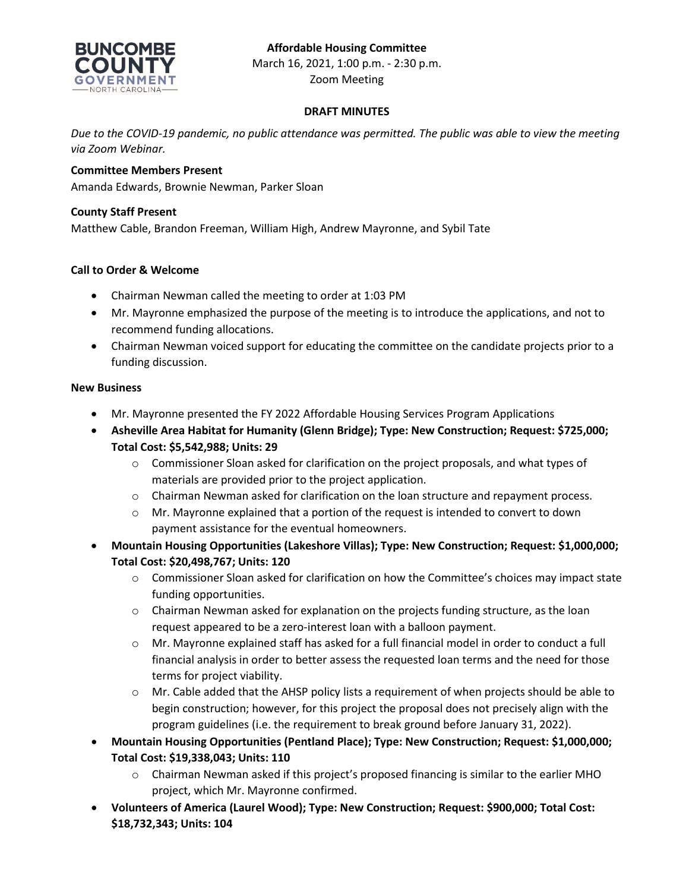## **Affordable Housing Committee**



March 16, 2021, 1:00 p.m. - 2:30 p.m. Zoom Meeting

### **DRAFT MINUTES**

*Due to the COVID-19 pandemic, no public attendance was permitted. The public was able to view the meeting via Zoom Webinar.*

## **Committee Members Present**

Amanda Edwards, Brownie Newman, Parker Sloan

## **County Staff Present**

Matthew Cable, Brandon Freeman, William High, Andrew Mayronne, and Sybil Tate

## **Call to Order & Welcome**

- Chairman Newman called the meeting to order at 1:03 PM
- Mr. Mayronne emphasized the purpose of the meeting is to introduce the applications, and not to recommend funding allocations.
- Chairman Newman voiced support for educating the committee on the candidate projects prior to a funding discussion.

### **New Business**

- Mr. Mayronne presented the FY 2022 Affordable Housing Services Program Applications
- **Asheville Area Habitat for Humanity (Glenn Bridge); Type: New Construction; Request: \$725,000; Total Cost: \$5,542,988; Units: 29**
	- $\circ$  Commissioner Sloan asked for clarification on the project proposals, and what types of materials are provided prior to the project application.
	- o Chairman Newman asked for clarification on the loan structure and repayment process.
	- o Mr. Mayronne explained that a portion of the request is intended to convert to down payment assistance for the eventual homeowners.
- **Mountain Housing Opportunities (Lakeshore Villas); Type: New Construction; Request: \$1,000,000; Total Cost: \$20,498,767; Units: 120**
	- o Commissioner Sloan asked for clarification on how the Committee's choices may impact state funding opportunities.
	- $\circ$  Chairman Newman asked for explanation on the projects funding structure, as the loan request appeared to be a zero-interest loan with a balloon payment.
	- o Mr. Mayronne explained staff has asked for a full financial model in order to conduct a full financial analysis in order to better assess the requested loan terms and the need for those terms for project viability.
	- o Mr. Cable added that the AHSP policy lists a requirement of when projects should be able to begin construction; however, for this project the proposal does not precisely align with the program guidelines (i.e. the requirement to break ground before January 31, 2022).
- **Mountain Housing Opportunities (Pentland Place); Type: New Construction; Request: \$1,000,000; Total Cost: \$19,338,043; Units: 110**
	- $\circ$  Chairman Newman asked if this project's proposed financing is similar to the earlier MHO project, which Mr. Mayronne confirmed.
- **Volunteers of America (Laurel Wood); Type: New Construction; Request: \$900,000; Total Cost: \$18,732,343; Units: 104**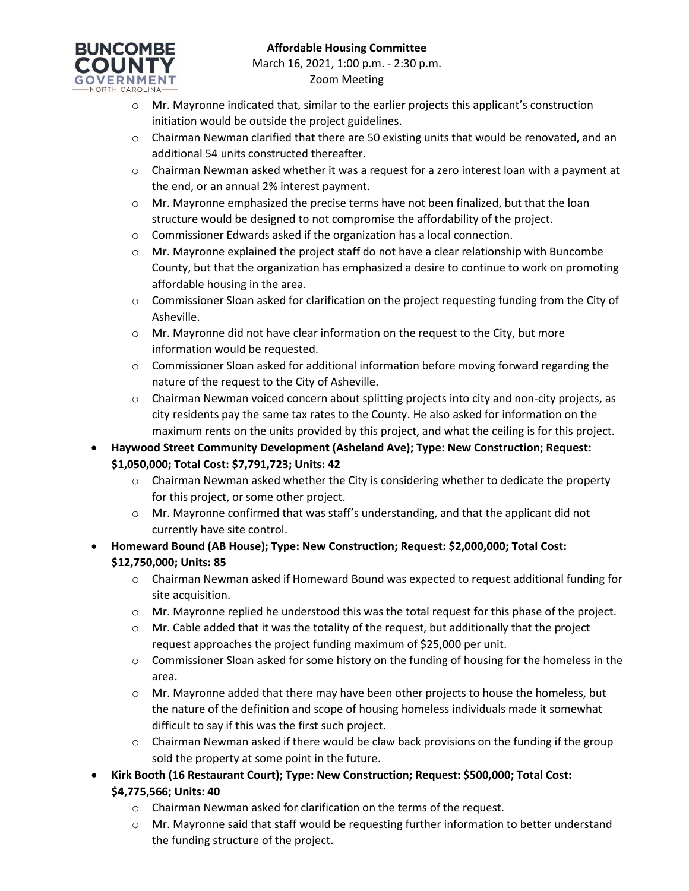# **BUNCOMBE COUNTY**

- o Mr. Mayronne indicated that, similar to the earlier projects this applicant's construction initiation would be outside the project guidelines.
- $\circ$  Chairman Newman clarified that there are 50 existing units that would be renovated, and an additional 54 units constructed thereafter.
- $\circ$  Chairman Newman asked whether it was a request for a zero interest loan with a payment at the end, or an annual 2% interest payment.
- o Mr. Mayronne emphasized the precise terms have not been finalized, but that the loan structure would be designed to not compromise the affordability of the project.
- o Commissioner Edwards asked if the organization has a local connection.
- $\circ$  Mr. Mayronne explained the project staff do not have a clear relationship with Buncombe County, but that the organization has emphasized a desire to continue to work on promoting affordable housing in the area.
- o Commissioner Sloan asked for clarification on the project requesting funding from the City of Asheville.
- o Mr. Mayronne did not have clear information on the request to the City, but more information would be requested.
- $\circ$  Commissioner Sloan asked for additional information before moving forward regarding the nature of the request to the City of Asheville.
- o Chairman Newman voiced concern about splitting projects into city and non-city projects, as city residents pay the same tax rates to the County. He also asked for information on the maximum rents on the units provided by this project, and what the ceiling is for this project.
- **Haywood Street Community Development (Asheland Ave); Type: New Construction; Request: \$1,050,000; Total Cost: \$7,791,723; Units: 42**
	- $\circ$  Chairman Newman asked whether the City is considering whether to dedicate the property for this project, or some other project.
	- $\circ$  Mr. Mayronne confirmed that was staff's understanding, and that the applicant did not currently have site control.
- **Homeward Bound (AB House); Type: New Construction; Request: \$2,000,000; Total Cost: \$12,750,000; Units: 85**
	- $\circ$  Chairman Newman asked if Homeward Bound was expected to request additional funding for site acquisition.
	- o Mr. Mayronne replied he understood this was the total request for this phase of the project.
	- $\circ$  Mr. Cable added that it was the totality of the request, but additionally that the project request approaches the project funding maximum of \$25,000 per unit.
	- $\circ$  Commissioner Sloan asked for some history on the funding of housing for the homeless in the area.
	- o Mr. Mayronne added that there may have been other projects to house the homeless, but the nature of the definition and scope of housing homeless individuals made it somewhat difficult to say if this was the first such project.
	- $\circ$  Chairman Newman asked if there would be claw back provisions on the funding if the group sold the property at some point in the future.
- **Kirk Booth (16 Restaurant Court); Type: New Construction; Request: \$500,000; Total Cost: \$4,775,566; Units: 40**
	- o Chairman Newman asked for clarification on the terms of the request.
	- o Mr. Mayronne said that staff would be requesting further information to better understand the funding structure of the project.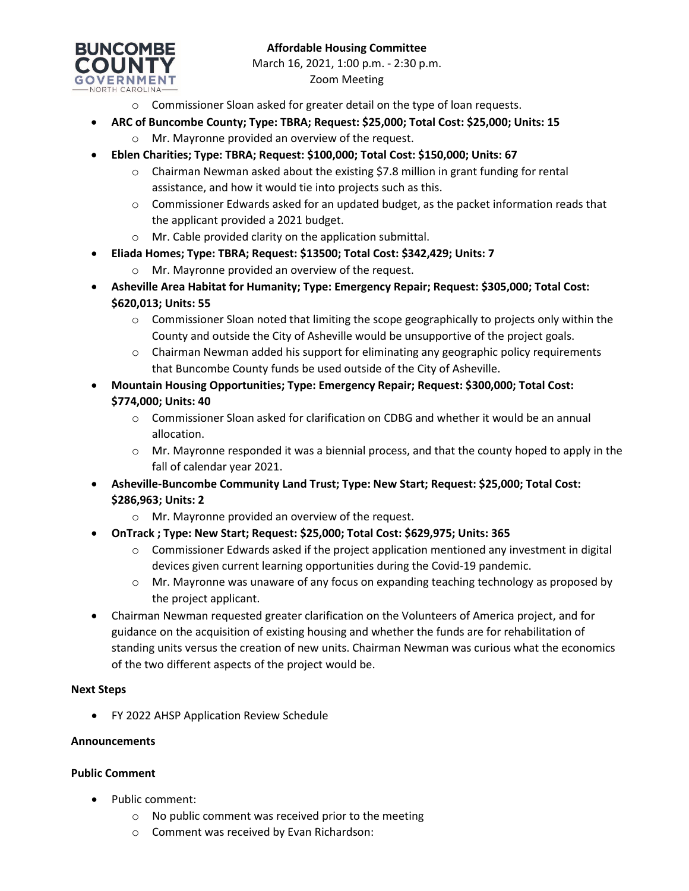

- o Commissioner Sloan asked for greater detail on the type of loan requests.
- **ARC of Buncombe County; Type: TBRA; Request: \$25,000; Total Cost: \$25,000; Units: 15**
	- o Mr. Mayronne provided an overview of the request.
- **Eblen Charities; Type: TBRA; Request: \$100,000; Total Cost: \$150,000; Units: 67**
	- o Chairman Newman asked about the existing \$7.8 million in grant funding for rental assistance, and how it would tie into projects such as this.
	- $\circ$  Commissioner Edwards asked for an updated budget, as the packet information reads that the applicant provided a 2021 budget.
	- o Mr. Cable provided clarity on the application submittal.
- **Eliada Homes; Type: TBRA; Request: \$13500; Total Cost: \$342,429; Units: 7**
	- o Mr. Mayronne provided an overview of the request.
- **Asheville Area Habitat for Humanity; Type: Emergency Repair; Request: \$305,000; Total Cost: \$620,013; Units: 55**
	- $\circ$  Commissioner Sloan noted that limiting the scope geographically to projects only within the County and outside the City of Asheville would be unsupportive of the project goals.
	- $\circ$  Chairman Newman added his support for eliminating any geographic policy requirements that Buncombe County funds be used outside of the City of Asheville.
- **Mountain Housing Opportunities; Type: Emergency Repair; Request: \$300,000; Total Cost: \$774,000; Units: 40**
	- $\circ$  Commissioner Sloan asked for clarification on CDBG and whether it would be an annual allocation.
	- $\circ$  Mr. Mayronne responded it was a biennial process, and that the county hoped to apply in the fall of calendar year 2021.
- **Asheville-Buncombe Community Land Trust; Type: New Start; Request: \$25,000; Total Cost: \$286,963; Units: 2**
	- o Mr. Mayronne provided an overview of the request.
- **OnTrack ; Type: New Start; Request: \$25,000; Total Cost: \$629,975; Units: 365**
	- $\circ$  Commissioner Edwards asked if the project application mentioned any investment in digital devices given current learning opportunities during the Covid-19 pandemic.
	- $\circ$  Mr. Mayronne was unaware of any focus on expanding teaching technology as proposed by the project applicant.
- Chairman Newman requested greater clarification on the Volunteers of America project, and for guidance on the acquisition of existing housing and whether the funds are for rehabilitation of standing units versus the creation of new units. Chairman Newman was curious what the economics of the two different aspects of the project would be.

### **Next Steps**

• FY 2022 AHSP Application Review Schedule

### **Announcements**

### **Public Comment**

- Public comment:
	- o No public comment was received prior to the meeting
	- o Comment was received by Evan Richardson: